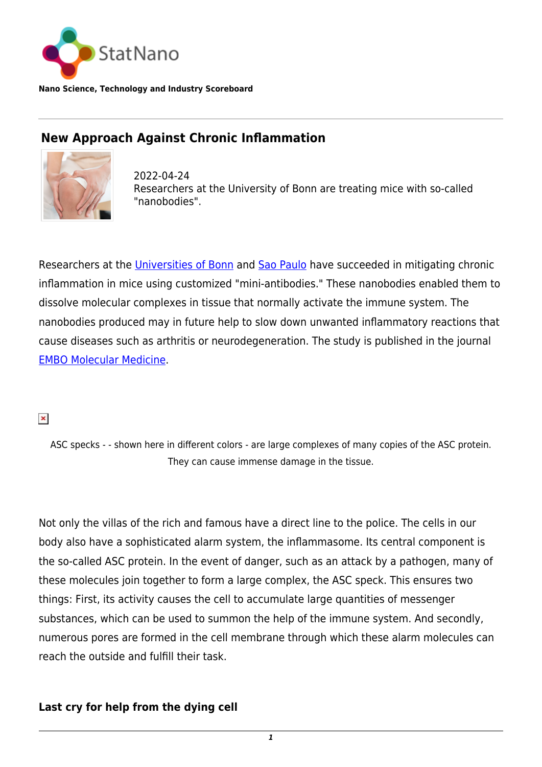

**Nano Science, Technology and Industry Scoreboard**

# **New Approach Against Chronic Inflammation**



2022-04-24 Researchers at the University of Bonn are treating mice with so-called "nanobodies".

Researchers at the [Universities of Bonn](https://www.uni-bonn.de/en/university/) and [Sao Paulo](https://statnano.com/org/University-of-S%C3%A3o-Paulo) have succeeded in mitigating chronic inflammation in mice using customized "mini-antibodies." These nanobodies enabled them to dissolve molecular complexes in tissue that normally activate the immune system. The nanobodies produced may in future help to slow down unwanted inflammatory reactions that cause diseases such as arthritis or neurodegeneration. The study is published in the journal [EMBO Molecular Medicine](https://www.embopress.org/doi/full/10.15252/emmm.202115415).

#### $\pmb{\times}$

ASC specks - - shown here in different colors - are large complexes of many copies of the ASC protein. They can cause immense damage in the tissue.

Not only the villas of the rich and famous have a direct line to the police. The cells in our body also have a sophisticated alarm system, the inflammasome. Its central component is the so-called ASC protein. In the event of danger, such as an attack by a pathogen, many of these molecules join together to form a large complex, the ASC speck. This ensures two things: First, its activity causes the cell to accumulate large quantities of messenger substances, which can be used to summon the help of the immune system. And secondly, numerous pores are formed in the cell membrane through which these alarm molecules can reach the outside and fulfill their task.

## **Last cry for help from the dying cell**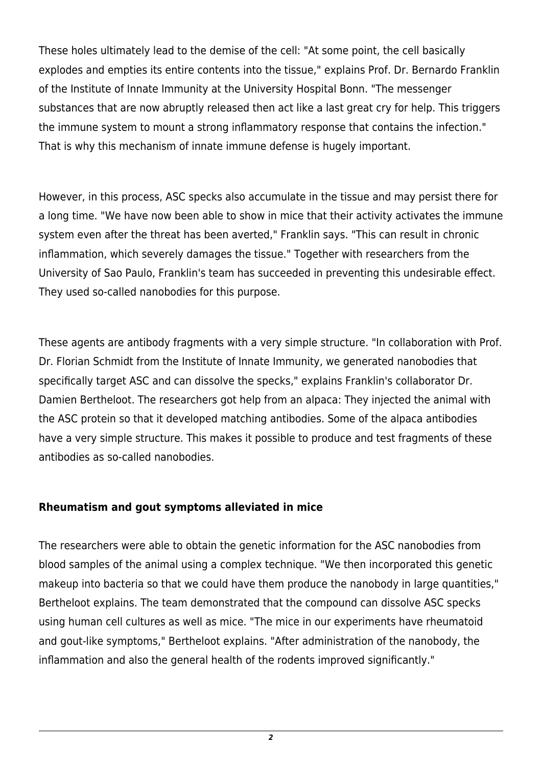These holes ultimately lead to the demise of the cell: "At some point, the cell basically explodes and empties its entire contents into the tissue," explains Prof. Dr. Bernardo Franklin of the Institute of Innate Immunity at the University Hospital Bonn. "The messenger substances that are now abruptly released then act like a last great cry for help. This triggers the immune system to mount a strong inflammatory response that contains the infection." That is why this mechanism of innate immune defense is hugely important.

However, in this process, ASC specks also accumulate in the tissue and may persist there for a long time. "We have now been able to show in mice that their activity activates the immune system even after the threat has been averted," Franklin says. "This can result in chronic inflammation, which severely damages the tissue." Together with researchers from the University of Sao Paulo, Franklin's team has succeeded in preventing this undesirable effect. They used so-called nanobodies for this purpose.

These agents are antibody fragments with a very simple structure. "In collaboration with Prof. Dr. Florian Schmidt from the Institute of Innate Immunity, we generated nanobodies that specifically target ASC and can dissolve the specks," explains Franklin's collaborator Dr. Damien Bertheloot. The researchers got help from an alpaca: They injected the animal with the ASC protein so that it developed matching antibodies. Some of the alpaca antibodies have a very simple structure. This makes it possible to produce and test fragments of these antibodies as so-called nanobodies.

## **Rheumatism and gout symptoms alleviated in mice**

The researchers were able to obtain the genetic information for the ASC nanobodies from blood samples of the animal using a complex technique. "We then incorporated this genetic makeup into bacteria so that we could have them produce the nanobody in large quantities," Bertheloot explains. The team demonstrated that the compound can dissolve ASC specks using human cell cultures as well as mice. "The mice in our experiments have rheumatoid and gout-like symptoms," Bertheloot explains. "After administration of the nanobody, the inflammation and also the general health of the rodents improved significantly."

*2*